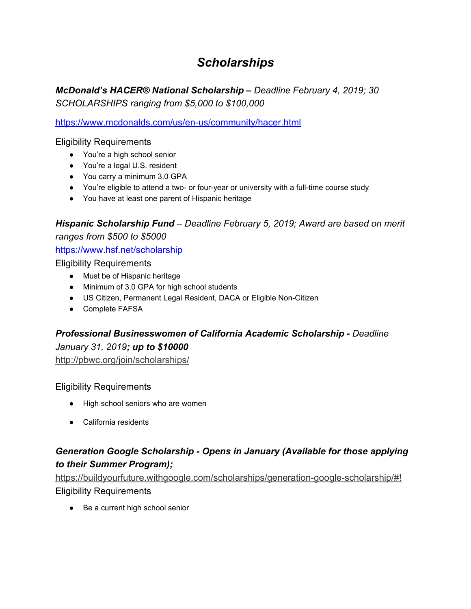# *Scholarships*

*McDonald's HACER® National Scholarship – Deadline February 4, 2019; 30 SCHOLARSHIPS ranging from \$5,000 to \$100,000*

<https://www.mcdonalds.com/us/en-us/community/hacer.html>

### Eligibility Requirements

- You're a high school senior
- You're a legal U.S. resident
- You carry a minimum 3.0 GPA
- You're eligible to attend a two- or four-year or university with a full-time course study
- You have at least one parent of Hispanic heritage

# *Hispanic Scholarship Fund – Deadline February 5, 2019; Award are based on merit ranges from \$500 to \$5000*

### <https://www.hsf.net/scholarship>

Eligibility Requirements

- Must be of Hispanic heritage
- Minimum of 3.0 GPA for high school students
- US Citizen, Permanent Legal Resident, DACA or Eligible Non-Citizen
- Complete FAFSA

# *Professional Businesswomen of California Academic Scholarship - Deadline January 31, 2019; up to \$10000*

<http://pbwc.org/join/scholarships/>

### Eligibility Requirements

- High school seniors who are women
- California residents

# *Generation Google Scholarship - Opens in January (Available for those applying to their Summer Program);*

[https://buildyourfuture.withgoogle.com/scholarships/generation-google-scholarship/#!](https://buildyourfuture.withgoogle.com/scholarships/generation-google-scholarship/) Eligibility Requirements

● Be a current high school senior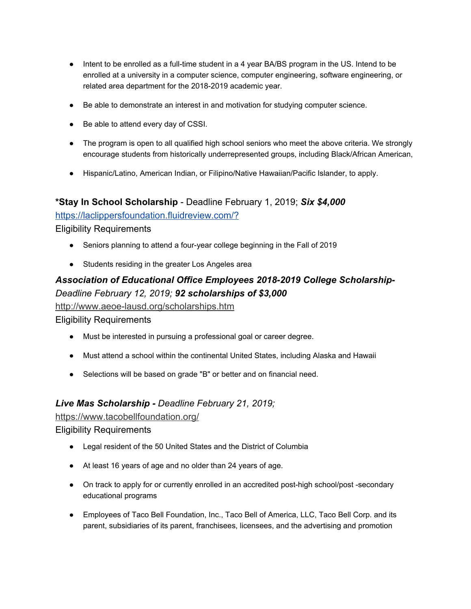- Intent to be enrolled as a full-time student in a 4 year BA/BS program in the US. Intend to be enrolled at a university in a computer science, computer engineering, software engineering, or related area department for the 2018-2019 academic year.
- Be able to demonstrate an interest in and motivation for studying computer science.
- Be able to attend every day of CSSI.
- The program is open to all qualified high school seniors who meet the above criteria. We strongly encourage students from historically underrepresented groups, including Black/African American,
- Hispanic/Latino, American Indian, or Filipino/Native Hawaiian/Pacific Islander, to apply.

#### **\*Stay In School Scholarship** - Deadline February 1, 2019; *Six \$4,000*

<https://laclippersfoundation.fluidreview.com/?>

Eligibility Requirements

- Seniors planning to attend a four-year college beginning in the Fall of 2019
- Students residing in the greater Los Angeles area

### *Association of Educational Office Employees 2018-2019 College Scholarship-Deadline February 12, 2019; 92 scholarships of \$3,000*

<http://www.aeoe-lausd.org/scholarships.htm>

Eligibility Requirements

- Must be interested in pursuing a professional goal or career degree.
- Must attend a school within the continental United States, including Alaska and Hawaii
- Selections will be based on grade "B" or better and on financial need.

#### *Live Mas Scholarship - Deadline February 21, 2019;*

<https://www.tacobellfoundation.org/>

#### Eligibility Requirements

- Legal resident of the 50 United States and the District of Columbia
- At least 16 years of age and no older than 24 years of age.
- On track to apply for or currently enrolled in an accredited post-high school/post -secondary educational programs
- Employees of Taco Bell Foundation, Inc., Taco Bell of America, LLC, Taco Bell Corp. and its parent, subsidiaries of its parent, franchisees, licensees, and the advertising and promotion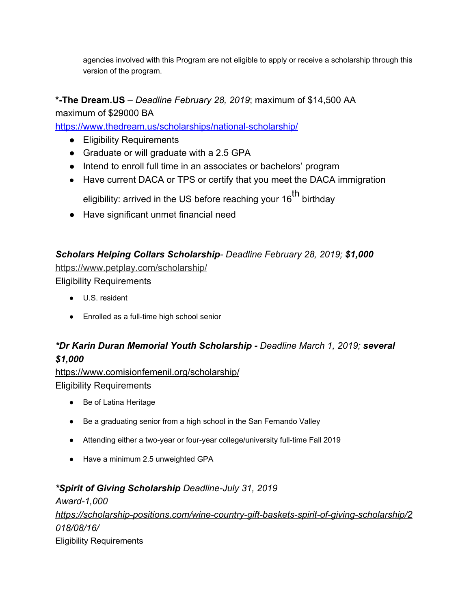agencies involved with this Program are not eligible to apply or receive a scholarship through this version of the program.

### **\*-The Dream.US** – *Deadline February 28, 2019*; maximum of \$14,500 AA

maximum of \$29000 BA

<https://www.thedream.us/scholarships/national-scholarship/>

- Eligibility Requirements
- Graduate or will graduate with a 2.5 GPA
- Intend to enroll full time in an associates or bachelors' program
- Have current DACA or TPS or certify that you meet the DACA immigration eligibility: arrived in the US before reaching your 16<sup>th</sup> birthday
- Have significant unmet financial need

## *Scholars Helping Collars Scholarship- Deadline February 28, 2019; \$1,000*

<https://www.petplay.com/scholarship/> Eligibility Requirements

- U.S. resident
- Enrolled as a full-time high school senior

# *\*Dr Karin Duran Memorial Youth Scholarship - Deadline March 1, 2019; several \$1,000*

https://www.comisionfemenil.org/scholarship/ Eligibility Requirements

- Be of Latina Heritage
- Be a graduating senior from a high school in the San Fernando Valley
- Attending either a two-year or four-year college/university full-time Fall 2019
- Have a minimum 2.5 unweighted GPA

# *\*Spirit of Giving Scholarship Deadline-July 31, 2019*

*Award-1,000 https://scholarship-positions.com/wine-country-gift-baskets-spirit-of-giving-scholarship/2 018/08/16/* Eligibility Requirements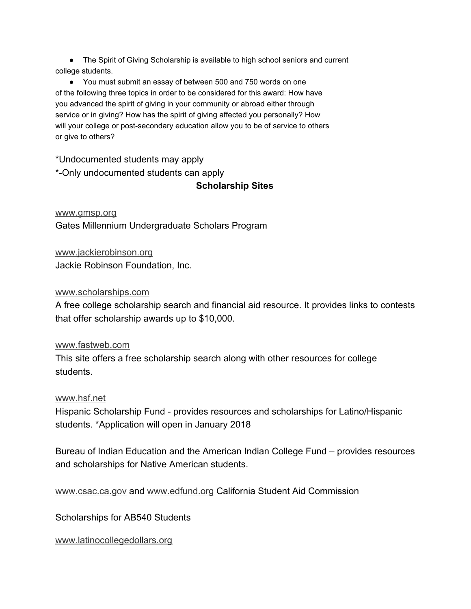● The Spirit of Giving Scholarship is available to high school seniors and current college students.

● You must submit an essay of between 500 and 750 words on one of the following three topics in order to be considered for this award: How have you advanced the spirit of giving in your community or abroad either through service or in giving? How has the spirit of giving affected you personally? How will your college or post-secondary education allow you to be of service to others or give to others?

\*Undocumented students may apply

\*-Only undocumented students can apply

**Scholarship Sites**

[www.gmsp.org](http://www.gmsp.org/) Gates Millennium Undergraduate Scholars Program

[www.jackierobinson.org](http://www.jackierobinson.org/) Jackie Robinson Foundation, Inc.

#### [www.scholarships.com](https://www.scholarships.com/)

A free college scholarship search and financial aid resource. It provides links to contests that offer scholarship awards up to \$10,000.

#### [www.fastweb.com](http://www.fastweb.com/)

This site offers a free scholarship search along with other resources for college students.

#### [www.hsf.net](https://hsf.net/)

Hispanic Scholarship Fund - provides resources and scholarships for Latino/Hispanic students. \*Application will open in January 2018

Bureau of Indian Education and the American Indian College Fund – provides resources and scholarships for Native American students.

[www.csac.ca.gov](http://www.csac.ca.gov/) and [www.edfund.org](http://www.edfund.org/) California Student Aid Commission

Scholarships for AB540 Students

[www.latinocollegedollars.org](http://www.latinocollegedollars.org/)